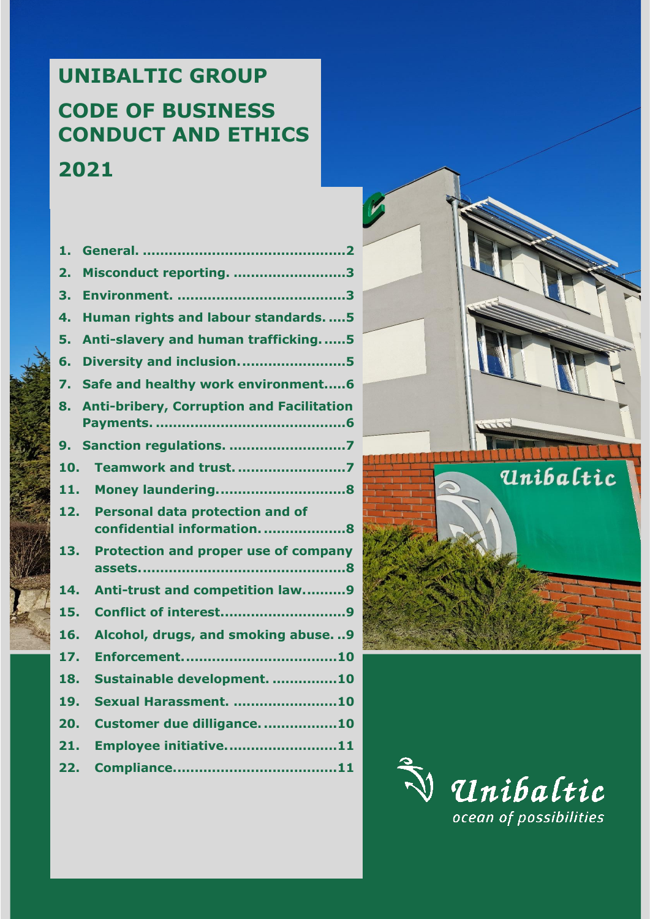# **UNIBALTIC GROUP CODE OF BUSINESS CONDUCT AND ETHICS 2021**

| 1.  |                                                                     |
|-----|---------------------------------------------------------------------|
| 2.  | Misconduct reporting. 3                                             |
| 3.  |                                                                     |
| 4.  | Human rights and labour standards.  5                               |
| 5.  | Anti-slavery and human trafficking5                                 |
| 6.  | Diversity and inclusion5                                            |
| 7.  | Safe and healthy work environment6                                  |
| 8.  | <b>Anti-bribery, Corruption and Facilitation</b>                    |
| 9.  | Sanction regulations. 7                                             |
| 10. | <b>Teamwork and trust. 7</b>                                        |
| 11. |                                                                     |
| 12. | <b>Personal data protection and of</b><br>confidential information8 |
| 13. | <b>Protection and proper use of company</b>                         |
| 14. | Anti-trust and competition law9                                     |
| 15. | <b>Conflict of interest9</b>                                        |
| 16. | Alcohol, drugs, and smoking abuse. 9                                |
| 17. |                                                                     |
| 18. | Sustainable development. 10                                         |
| 19. | <b>Sexual Harassment. 10</b>                                        |
| 20. | Customer due dilligance. 10                                         |
| 21. | Employee initiative11                                               |
| 22. |                                                                     |
|     |                                                                     |



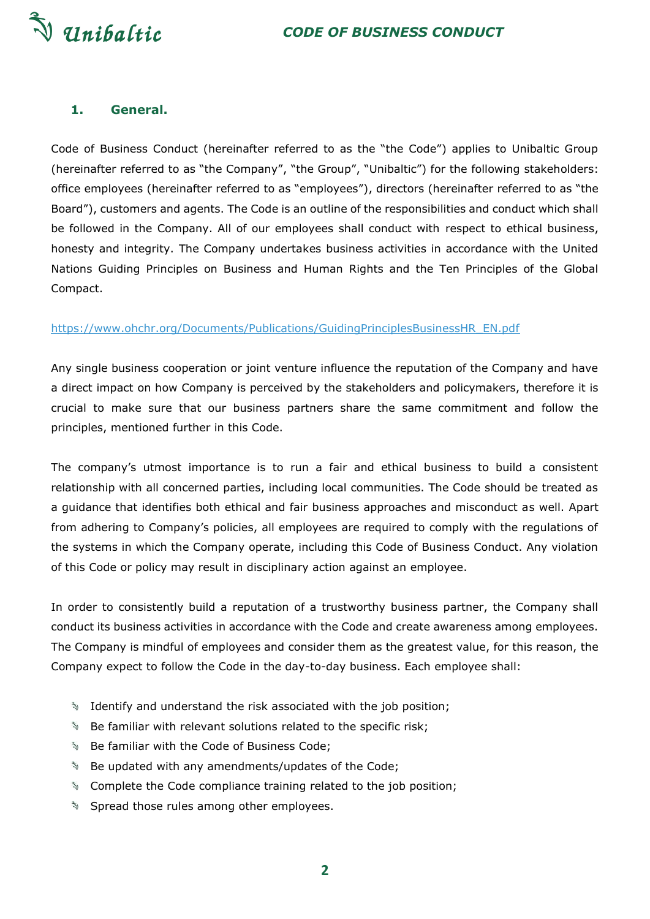

#### <span id="page-1-0"></span>**1. General.**

Code of Business Conduct (hereinafter referred to as the "the Code") applies to Unibaltic Group (hereinafter referred to as "the Company", "the Group", "Unibaltic") for the following stakeholders: office employees (hereinafter referred to as "employees"), directors (hereinafter referred to as "the Board"), customers and agents. The Code is an outline of the responsibilities and conduct which shall be followed in the Company. All of our employees shall conduct with respect to ethical business, honesty and integrity. The Company undertakes business activities in accordance with the United Nations Guiding Principles on Business and Human Rights and the Ten Principles of the Global Compact.

#### [https://www.ohchr.org/Documents/Publications/GuidingPrinciplesBusinessHR\\_EN.pdf](https://www.ohchr.org/Documents/Publications/GuidingPrinciplesBusinessHR_EN.pdf)

Any single business cooperation or joint venture influence the reputation of the Company and have a direct impact on how Company is perceived by the stakeholders and policymakers, therefore it is crucial to make sure that our business partners share the same commitment and follow the principles, mentioned further in this Code.

The company's utmost importance is to run a fair and ethical business to build a consistent relationship with all concerned parties, including local communities. The Code should be treated as a guidance that identifies both ethical and fair business approaches and misconduct as well. Apart from adhering to Company's policies, all employees are required to comply with the regulations of the systems in which the Company operate, including this Code of Business Conduct. Any violation of this Code or policy may result in disciplinary action against an employee.

In order to consistently build a reputation of a trustworthy business partner, the Company shall conduct its business activities in accordance with the Code and create awareness among employees. The Company is mindful of employees and consider them as the greatest value, for this reason, the Company expect to follow the Code in the day-to-day business. Each employee shall:

- $\sqrt[3]{\ }$  Identify and understand the risk associated with the job position;
- $\mathbb{S}$  Be familiar with relevant solutions related to the specific risk;
- **Be familiar with the Code of Business Code;**
- **S** Be updated with any amendments/updates of the Code;
- $\sqrt[3]{\ }$  Complete the Code compliance training related to the job position;
- Spread those rules among other employees.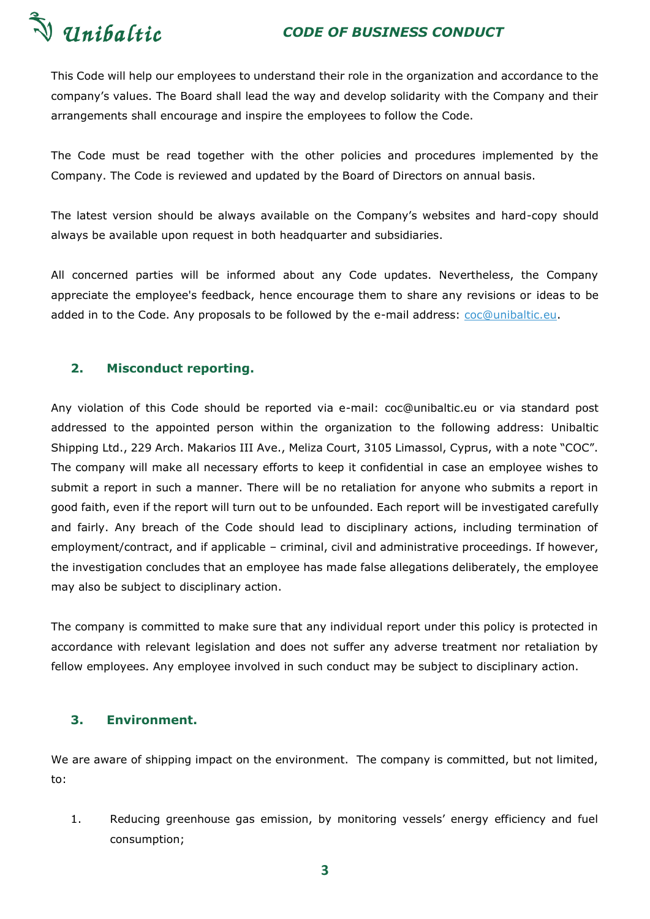

This Code will help our employees to understand their role in the organization and accordance to the company's values. The Board shall lead the way and develop solidarity with the Company and their arrangements shall encourage and inspire the employees to follow the Code.

The Code must be read together with the other policies and procedures implemented by the Company. The Code is reviewed and updated by the Board of Directors on annual basis.

The latest version should be always available on the Company's websites and hard-copy should always be available upon request in both headquarter and subsidiaries.

All concerned parties will be informed about any Code updates. Nevertheless, the Company appreciate the employee's feedback, hence encourage them to share any revisions or ideas to be added in to the Code. Any proposals to be followed by the e-mail address: [coc@unibaltic.eu.](mailto:coc@unibaltic.eu)

# <span id="page-2-0"></span>**2. Misconduct reporting.**

Any violation of this Code should be reported via e-mail: coc@unibaltic.eu or via standard post addressed to the appointed person within the organization to the following address: Unibaltic Shipping Ltd., 229 Arch. Makarios III Ave., Meliza Court, 3105 Limassol, Cyprus, with a note "COC". The company will make all necessary efforts to keep it confidential in case an employee wishes to submit a report in such a manner. There will be no retaliation for anyone who submits a report in good faith, even if the report will turn out to be unfounded. Each report will be investigated carefully and fairly. Any breach of the Code should lead to disciplinary actions, including termination of employment/contract, and if applicable – criminal, civil and administrative proceedings. If however, the investigation concludes that an employee has made false allegations deliberately, the employee may also be subject to disciplinary action.

The company is committed to make sure that any individual report under this policy is protected in accordance with relevant legislation and does not suffer any adverse treatment nor retaliation by fellow employees. Any employee involved in such conduct may be subject to disciplinary action.

# <span id="page-2-1"></span>**3. Environment.**

We are aware of shipping impact on the environment. The company is committed, but not limited, to:

1. Reducing greenhouse gas emission, by monitoring vessels' energy efficiency and fuel consumption;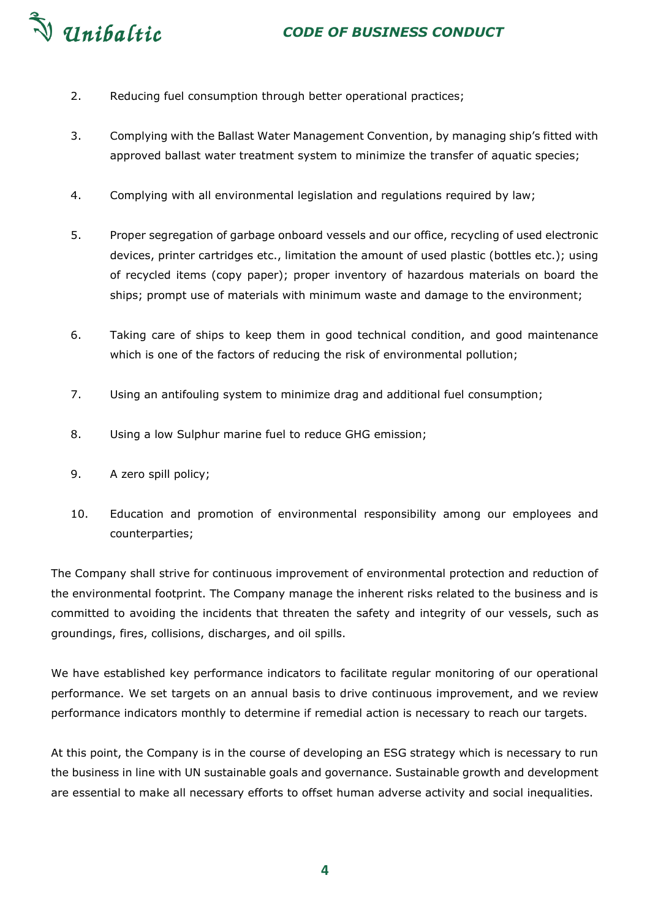# V Unibaltic

- 2. Reducing fuel consumption through better operational practices;
- 3. Complying with the Ballast Water Management Convention, by managing ship's fitted with approved ballast water treatment system to minimize the transfer of aquatic species;
- 4. Complying with all environmental legislation and regulations required by law;
- 5. Proper segregation of garbage onboard vessels and our office, recycling of used electronic devices, printer cartridges etc., limitation the amount of used plastic (bottles etc.); using of recycled items (copy paper); proper inventory of hazardous materials on board the ships; prompt use of materials with minimum waste and damage to the environment;
- 6. Taking care of ships to keep them in good technical condition, and good maintenance which is one of the factors of reducing the risk of environmental pollution;
- 7. Using an antifouling system to minimize drag and additional fuel consumption;
- 8. Using a low Sulphur marine fuel to reduce GHG emission;
- 9. A zero spill policy;
- 10. Education and promotion of environmental responsibility among our employees and counterparties;

The Company shall strive for continuous improvement of environmental protection and reduction of the environmental footprint. The Company manage the inherent risks related to the business and is committed to avoiding the incidents that threaten the safety and integrity of our vessels, such as groundings, fires, collisions, discharges, and oil spills.

We have established key performance indicators to facilitate regular monitoring of our operational performance. We set targets on an annual basis to drive continuous improvement, and we review performance indicators monthly to determine if remedial action is necessary to reach our targets.

At this point, the Company is in the course of developing an ESG strategy which is necessary to run the business in line with UN sustainable goals and governance. Sustainable growth and development are essential to make all necessary efforts to offset human adverse activity and social inequalities.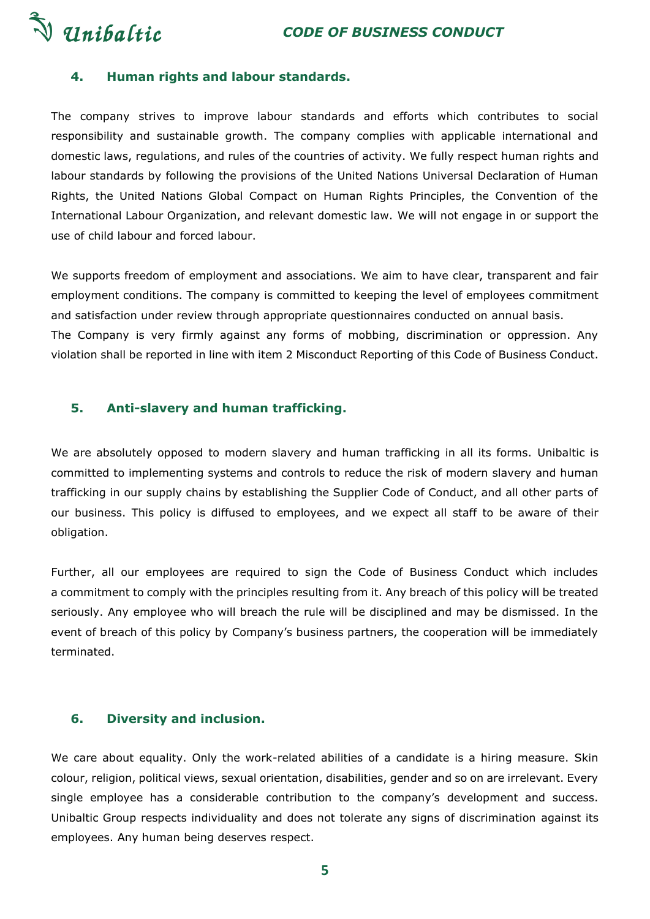



# <span id="page-4-0"></span>**4. Human rights and labour standards.**

The company strives to improve labour standards and efforts which contributes to social responsibility and sustainable growth. The company complies with applicable international and domestic laws, regulations, and rules of the countries of activity. We fully respect human rights and labour standards by following the provisions of the United Nations Universal Declaration of Human Rights, the United Nations Global Compact on Human Rights Principles, the Convention of the International Labour Organization, and relevant domestic law. We will not engage in or support the use of child labour and forced labour.

We supports freedom of employment and associations. We aim to have clear, transparent and fair employment conditions. The company is committed to keeping the level of employees commitment and satisfaction under review through appropriate questionnaires conducted on annual basis. The Company is very firmly against any forms of mobbing, discrimination or oppression. Any violation shall be reported in line with item 2 Misconduct Reporting of this Code of Business Conduct.

#### <span id="page-4-1"></span>**5. Anti-slavery and human trafficking.**

We are absolutely opposed to modern slavery and human trafficking in all its forms. Unibaltic is committed to implementing systems and controls to reduce the risk of modern slavery and human trafficking in our supply chains by establishing the Supplier Code of Conduct, and all other parts of our business. This policy is diffused to employees, and we expect all staff to be aware of their obligation.

Further, all our employees are required to sign the Code of Business Conduct which includes a commitment to comply with the principles resulting from it. Any breach of this policy will be treated seriously. Any employee who will breach the rule will be disciplined and may be dismissed. In the event of breach of this policy by Company's business partners, the cooperation will be immediately terminated.

#### <span id="page-4-2"></span>**6. Diversity and inclusion.**

We care about equality. Only the work-related abilities of a candidate is a hiring measure. Skin colour, religion, political views, sexual orientation, disabilities, gender and so on are irrelevant. Every single employee has a considerable contribution to the company's development and success. Unibaltic Group respects individuality and does not tolerate any signs of discrimination against its employees. Any human being deserves respect.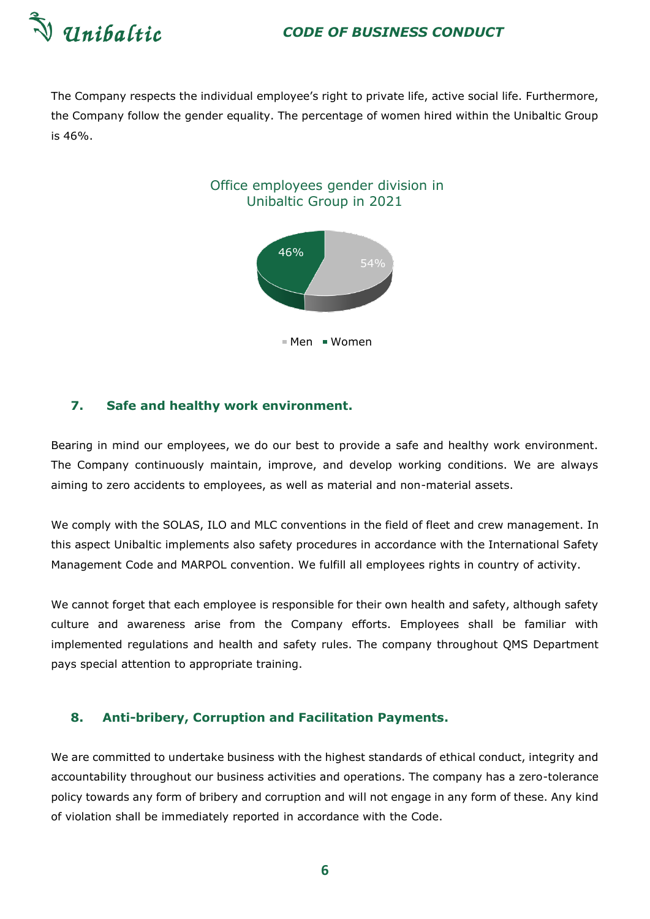

The Company respects the individual employee's right to private life, active social life. Furthermore, the Company follow the gender equality. The percentage of women hired within the Unibaltic Group is 46%.



Men Women

#### <span id="page-5-0"></span>**7. Safe and healthy work environment.**

Bearing in mind our employees, we do our best to provide a safe and healthy work environment. The Company continuously maintain, improve, and develop working conditions. We are always aiming to zero accidents to employees, as well as material and non-material assets.

We comply with the SOLAS, ILO and MLC conventions in the field of fleet and crew management. In this aspect Unibaltic implements also safety procedures in accordance with the International Safety Management Code and MARPOL convention. We fulfill all employees rights in country of activity.

We cannot forget that each employee is responsible for their own health and safety, although safety culture and awareness arise from the Company efforts. Employees shall be familiar with implemented regulations and health and safety rules. The company throughout QMS Department pays special attention to appropriate training.

### <span id="page-5-1"></span>**8. Anti-bribery, Corruption and Facilitation Payments.**

We are committed to undertake business with the highest standards of ethical conduct, integrity and accountability throughout our business activities and operations. The company has a zero-tolerance policy towards any form of bribery and corruption and will not engage in any form of these. Any kind of violation shall be immediately reported in accordance with the Code.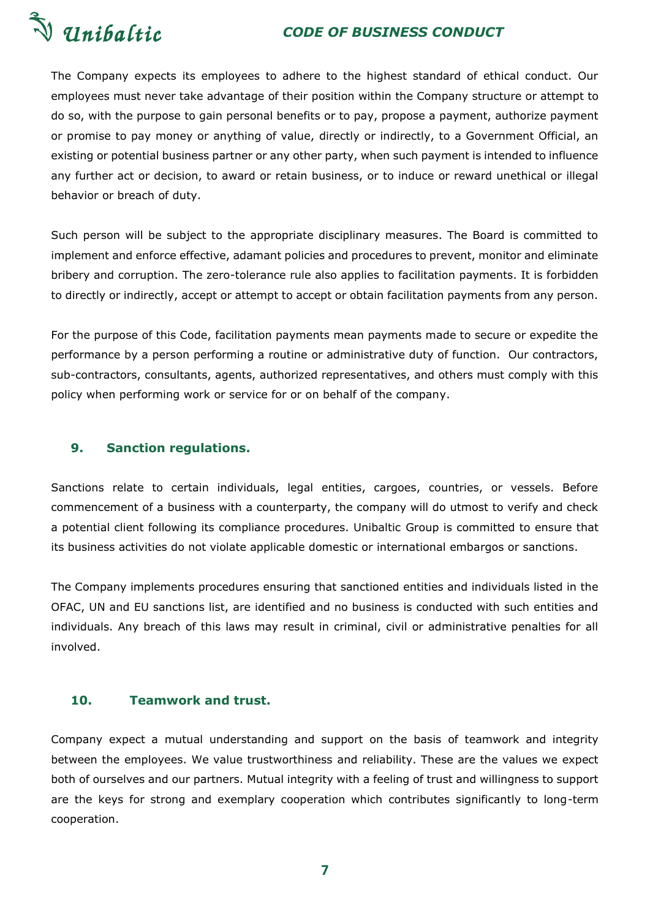

The Company expects its employees to adhere to the highest standard of ethical conduct. Our employees must never take advantage of their position within the Company structure or attempt to do so, with the purpose to gain personal benefits or to pay, propose a payment, authorize payment or promise to pay money or anything of value, directly or indirectly, to a Government Official, an existing or potential business partner or any other party, when such payment is intended to influence any further act or decision, to award or retain business, or to induce or reward unethical or illegal behavior or breach of duty.

Such person will be subject to the appropriate disciplinary measures. The Board is committed to implement and enforce effective, adamant policies and procedures to prevent, monitor and eliminate bribery and corruption. The zero-tolerance rule also applies to facilitation payments. It is forbidden to directly or indirectly, accept or attempt to accept or obtain facilitation payments from any person.

For the purpose of this Code, facilitation payments mean payments made to secure or expedite the performance by a person performing a routine or administrative duty of function. Our contractors, sub-contractors, consultants, agents, authorized representatives, and others must comply with this policy when performing work or service for or on behalf of the company.

# <span id="page-6-0"></span>**9. Sanction regulations.**

Sanctions relate to certain individuals, legal entities, cargoes, countries, or vessels. Before commencement of a business with a counterparty, the company will do utmost to verify and check a potential client following its compliance procedures. Unibaltic Group is committed to ensure that its business activities do not violate applicable domestic or international embargos or sanctions.

The Company implements procedures ensuring that sanctioned entities and individuals listed in the OFAC, UN and EU sanctions list, are identified and no business is conducted with such entities and individuals. Any breach of this laws may result in criminal, civil or administrative penalties for all involved.

# <span id="page-6-1"></span>**10. Teamwork and trust.**

Company expect a mutual understanding and support on the basis of teamwork and integrity between the employees. We value trustworthiness and reliability. These are the values we expect both of ourselves and our partners. Mutual integrity with a feeling of trust and willingness to support are the keys for strong and exemplary cooperation which contributes significantly to long-term cooperation.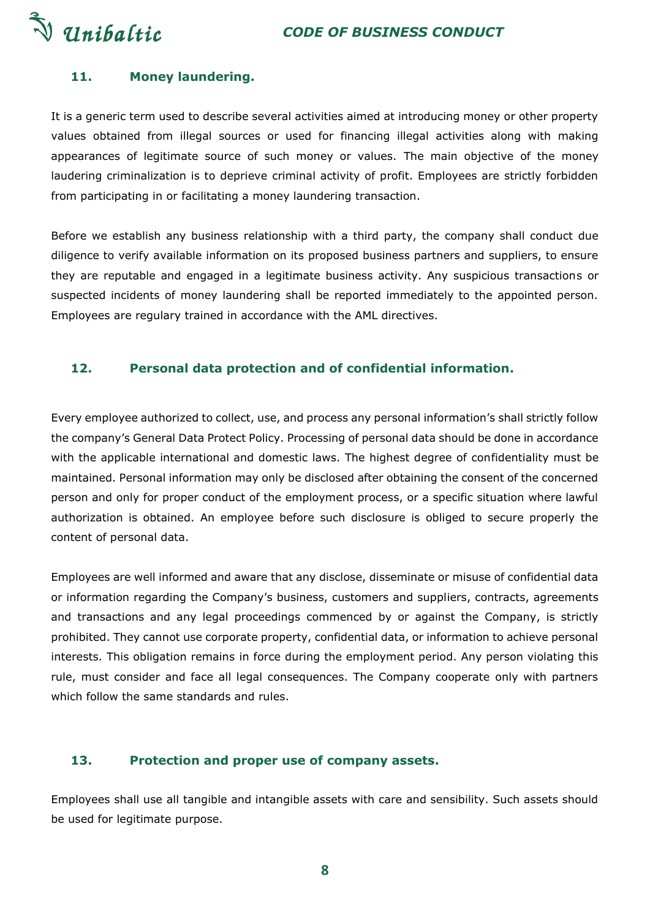V Unibaltic

# <span id="page-7-0"></span>**11. Money laundering.**

It is a generic term used to describe several activities aimed at introducing money or other property values obtained from illegal sources or used for financing illegal activities along with making appearances of legitimate source of such money or values. The main objective of the money laudering criminalization is to deprieve criminal activity of profit. Employees are strictly forbidden from participating in or facilitating a money laundering transaction.

Before we establish any business relationship with a third party, the company shall conduct due diligence to verify available information on its proposed business partners and suppliers, to ensure they are reputable and engaged in a legitimate business activity. Any suspicious transactions or suspected incidents of money laundering shall be reported immediately to the appointed person. Employees are regulary trained in accordance with the AML directives.

### <span id="page-7-1"></span>**12. Personal data protection and of confidential information.**

Every employee authorized to collect, use, and process any personal information's shall strictly follow the company's General Data Protect Policy. Processing of personal data should be done in accordance with the applicable international and domestic laws. The highest degree of confidentiality must be maintained. Personal information may only be disclosed after obtaining the consent of the concerned person and only for proper conduct of the employment process, or a specific situation where lawful authorization is obtained. An employee before such disclosure is obliged to secure properly the content of personal data.

Employees are well informed and aware that any disclose, disseminate or misuse of confidential data or information regarding the Company's business, customers and suppliers, contracts, agreements and transactions and any legal proceedings commenced by or against the Company, is strictly prohibited. They cannot use corporate property, confidential data, or information to achieve personal interests. This obligation remains in force during the employment period. Any person violating this rule, must consider and face all legal consequences. The Company cooperate only with partners which follow the same standards and rules.

#### <span id="page-7-2"></span>**13. Protection and proper use of company assets.**

Employees shall use all tangible and intangible assets with care and sensibility. Such assets should be used for legitimate purpose.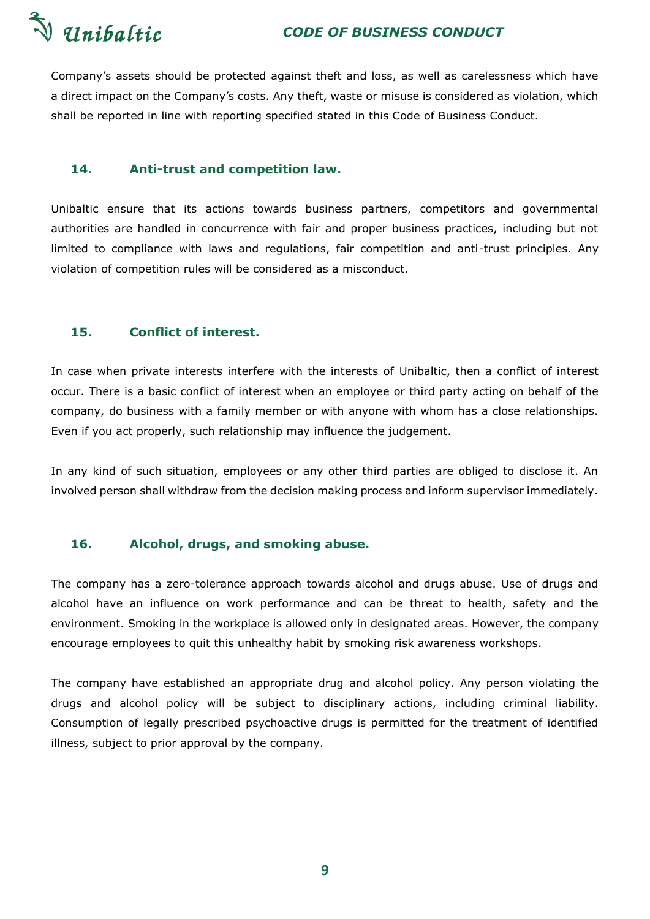

Company's assets should be protected against theft and loss, as well as carelessness which have a direct impact on the Company's costs. Any theft, waste or misuse is considered as violation, which shall be reported in line with reporting specified stated in this Code of Business Conduct.

### <span id="page-8-0"></span>**14. Anti-trust and competition law.**

Unibaltic ensure that its actions towards business partners, competitors and governmental authorities are handled in concurrence with fair and proper business practices, including but not limited to compliance with laws and regulations, fair competition and anti-trust principles. Any violation of competition rules will be considered as a misconduct.

# <span id="page-8-1"></span>**15. Conflict of interest.**

In case when private interests interfere with the interests of Unibaltic, then a conflict of interest occur. There is a basic conflict of interest when an employee or third party acting on behalf of the company, do business with a family member or with anyone with whom has a close relationships. Even if you act properly, such relationship may influence the judgement.

In any kind of such situation, employees or any other third parties are obliged to disclose it. An involved person shall withdraw from the decision making process and inform supervisor immediately.

# <span id="page-8-2"></span>**16. Alcohol, drugs, and smoking abuse.**

The company has a zero-tolerance approach towards alcohol and drugs abuse. Use of drugs and alcohol have an influence on work performance and can be threat to health, safety and the environment. Smoking in the workplace is allowed only in designated areas. However, the company encourage employees to quit this unhealthy habit by smoking risk awareness workshops.

The company have established an appropriate drug and alcohol policy. Any person violating the drugs and alcohol policy will be subject to disciplinary actions, including criminal liability. Consumption of legally prescribed psychoactive drugs is permitted for the treatment of identified illness, subject to prior approval by the company.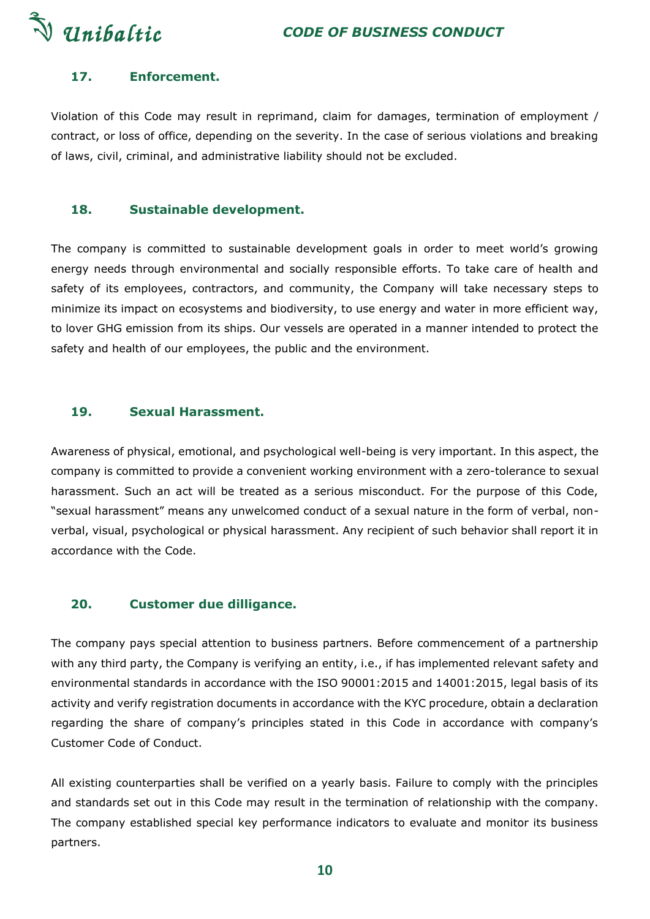

# <span id="page-9-0"></span>**17. Enforcement.**

Violation of this Code may result in reprimand, claim for damages, termination of employment / contract, or loss of office, depending on the severity. In the case of serious violations and breaking of laws, civil, criminal, and administrative liability should not be excluded.

# <span id="page-9-1"></span>**18. Sustainable development.**

The company is committed to sustainable development goals in order to meet world's growing energy needs through environmental and socially responsible efforts. To take care of health and safety of its employees, contractors, and community, the Company will take necessary steps to minimize its impact on ecosystems and biodiversity, to use energy and water in more efficient way, to lover GHG emission from its ships. Our vessels are operated in a manner intended to protect the safety and health of our employees, the public and the environment.

## <span id="page-9-2"></span>**19. Sexual Harassment.**

Awareness of physical, emotional, and psychological well-being is very important. In this aspect, the company is committed to provide a convenient working environment with a zero-tolerance to sexual harassment. Such an act will be treated as a serious misconduct. For the purpose of this Code, "sexual harassment" means any unwelcomed conduct of a sexual nature in the form of verbal, nonverbal, visual, psychological or physical harassment. Any recipient of such behavior shall report it in accordance with the Code.

#### <span id="page-9-3"></span>**20. Customer due dilligance.**

The company pays special attention to business partners. Before commencement of a partnership with any third party, the Company is verifying an entity, i.e., if has implemented relevant safety and environmental standards in accordance with the ISO 90001:2015 and 14001:2015, legal basis of its activity and verify registration documents in accordance with the KYC procedure, obtain a declaration regarding the share of company's principles stated in this Code in accordance with company's Customer Code of Conduct.

All existing counterparties shall be verified on a yearly basis. Failure to comply with the principles and standards set out in this Code may result in the termination of relationship with the company. The company established special key performance indicators to evaluate and monitor its business partners.